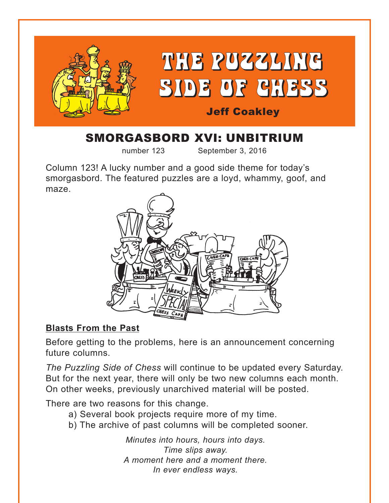

# SMORGASBORD XVI: UNBITRIUM

number 123 September 3, 2016

Column 123! A lucky number and a good side theme for today's smorgasbord. The featured puzzles are a loyd, whammy, goof, and maze.



## **Blasts From the Past**

Before getting to the problems, here is an announcement concerning future columns.

*The Puzzling Side of Chess* will continue to be updated every Saturday. But for the next year, there will only be two new columns each month. On other weeks, previously unarchived material will be posted.

There are two reasons for this change.

- a) Several book projects require more of my time.
- b) The archive of past columns will be completed sooner.

*Minutes into hours, hours into days. Time slips away. A moment here and a moment there. In ever endless ways.*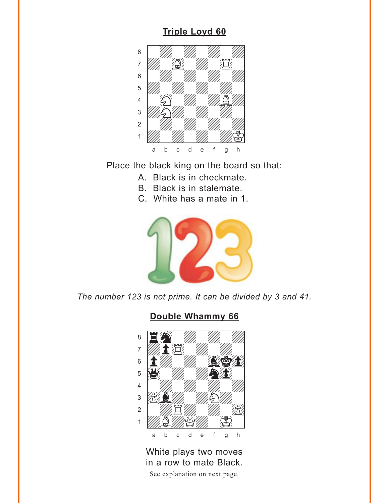### **Triple Loyd 60**

<span id="page-1-0"></span>

Place the black king on the board so that:

- A. Black is in checkmate.
- B. Black is in stalemate.
- C. White has a mate in 1.



The number 123 is not prime. It can be divided by 3 and 41.

### Double Whammy 66



White plays two moves in a row to mate Black. See explanation on next page.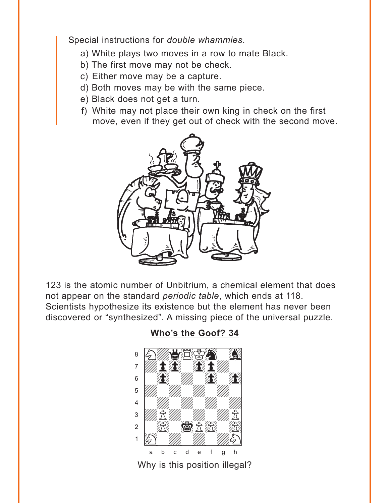<span id="page-2-0"></span>Special instructions for *double whammies*.

- a) White plays two moves in a row to mate Black.
- b) The first move may not be check.
- c) Either move may be a capture.
- d) Both moves may be with the same piece.
- e) Black does not get a turn.
- f) White may not place their own king in check on the first move, even if they get out of check with the second move.



123 is the atomic number of Unbitrium, a chemical element that does not appear on the standard *periodic table*, which ends at 118. Scientists hypothesize its existence but the element has never been discovered or "synthesized". A missing piece of the universal puzzle.

**[Who's the Goof? 34](#page-5-0)**

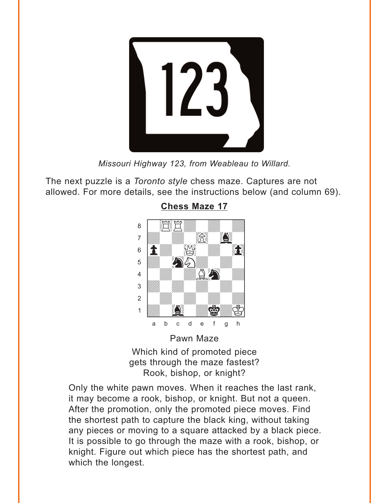<span id="page-3-0"></span>

*Missouri Highway 123, from Weableau to Willard.*

The next puzzle is a *Toronto style* chess maze. Captures are not allowed. For more details, see the instructions below (and column 69).



**[Chess Maze 17](#page-6-0)**

Which kind of promoted piece gets through the maze fastest? Rook, bishop, or knight?

Only the white pawn moves. When it reaches the last rank, it may become a rook, bishop, or knight. But not a queen. After the promotion, only the promoted piece moves. Find the shortest path to capture the black king, without taking any pieces or moving to a square attacked by a black piece. It is possible to go through the maze with a rook, bishop, or knight. Figure out which piece has the shortest path, and which the longest.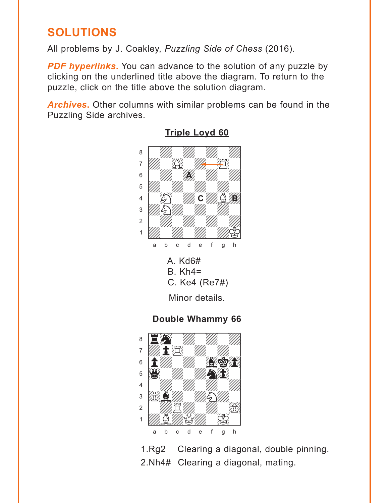# <span id="page-4-0"></span>**SOLUTIONS**

All problems by J. Coakley, Puzzling Side of Chess (2016).

**PDF hyperlinks.** You can advance to the solution of any puzzle by clicking on the underlined title above the diagram. To return to the puzzle, click on the title above the solution diagram.

**Archives.** Other columns with similar problems can be found in the Puzzling Side archives.



**Triple Loyd 60** 

## Double Whammy 66



 $1.Rq2$ Clearing a diagonal, double pinning. 2. Nh4# Clearing a diagonal, mating.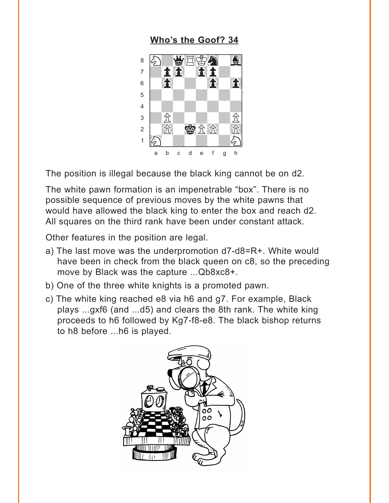#### **Who's the Goof? 34**

<span id="page-5-0"></span>

The position is illegal because the black king cannot be on d2.

The white pawn formation is an impenetrable "box". There is no possible sequence of previous moves by the white pawns that would have allowed the black king to enter the box and reach d2. All squares on the third rank have been under constant attack.

Other features in the position are legal.

- a) The last move was the underpromotion d7-d8=R+. White would have been in check from the black queen on c8, so the preceding move by Black was the capture ... Qb8xc8+.
- b) One of the three white knights is a promoted pawn.
- c) The white king reached e8 via h6 and g7. For example, Black plays ...gxf6 (and ...d5) and clears the 8th rank. The white king proceeds to h6 followed by Kg7-f8-e8. The black bishop returns to h8 before ...h6 is played.